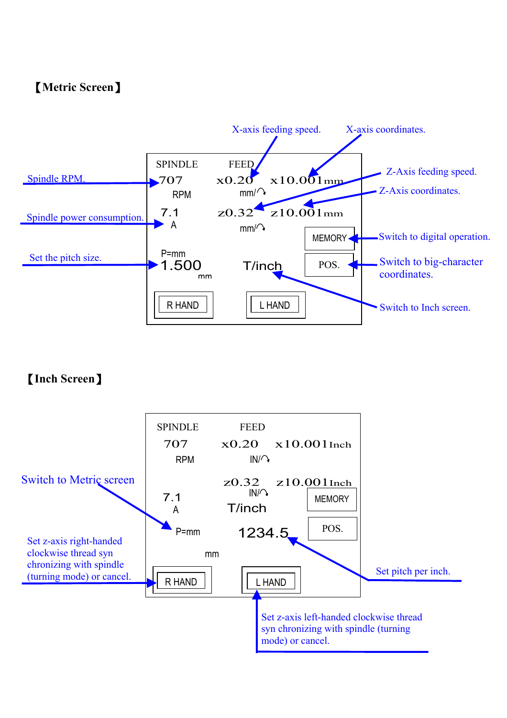#### 【**Metric Screen**】



#### 【**Inch Screen**】

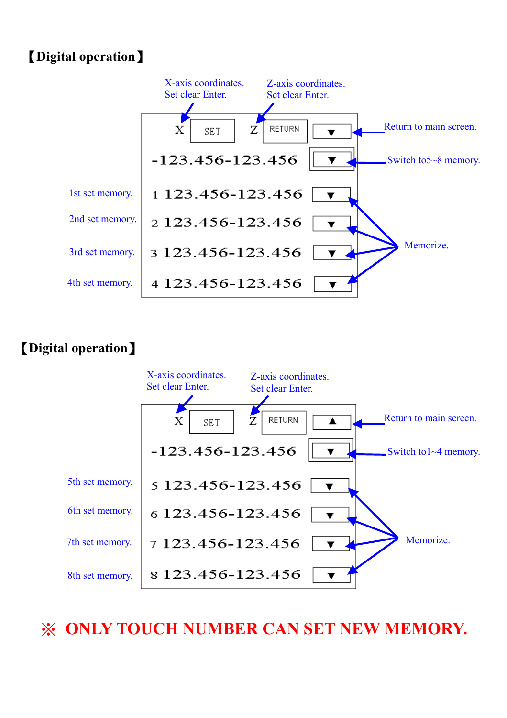## 【**Digital operation**】



## 【**Digital operation**】



※ **ONLY TOUCH NUMBER CAN SET NEW MEMORY.**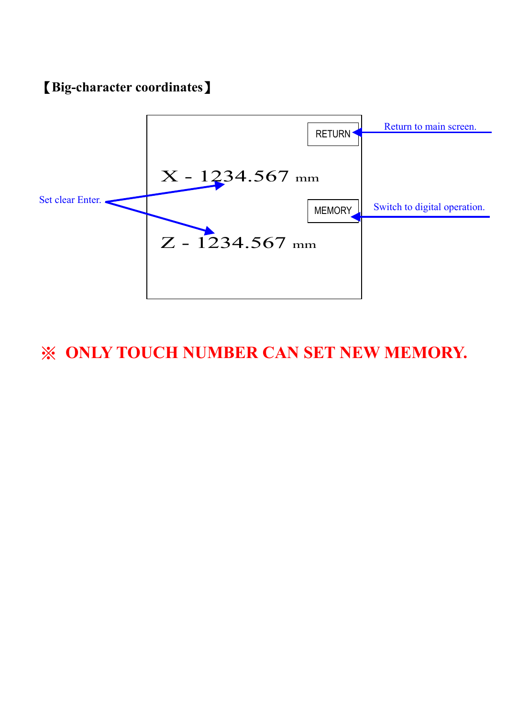#### 【**Big-character coordinates**】



# ※ **ONLY TOUCH NUMBER CAN SET NEW MEMORY.**